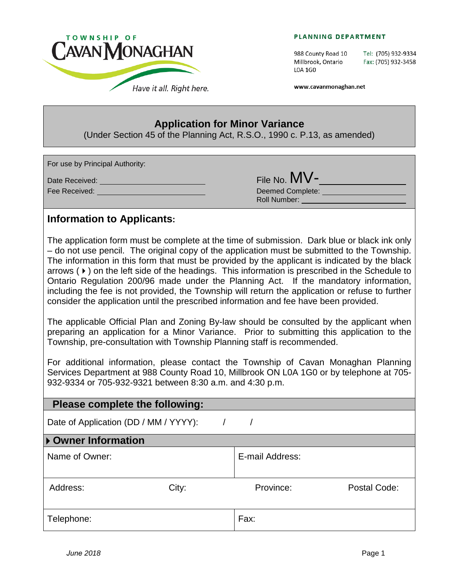

#### PLANNING DEPARTMENT

988 County Road 10 Millbrook, Ontario L0A 1G0

Tel: (705) 932-9334 Fax: (705) 932-3458

www.cavanmonaghan.net

## **Application for Minor Variance**

(Under Section 45 of the Planning Act, R.S.O., 1990 c. P.13, as amended)

For use by Principal Authority:

Date Received: File No. MV- Deemed Complete: **Deemed Complete:** Roll Number:

## **Information to Applicants:**

The application form must be complete at the time of submission. Dark blue or black ink only – do not use pencil. The original copy of the application must be submitted to the Township. The information in this form that must be provided by the applicant is indicated by the black arrows  $(*)$  on the left side of the headings. This information is prescribed in the Schedule to Ontario Regulation 200/96 made under the Planning Act. If the mandatory information, including the fee is not provided, the Township will return the application or refuse to further consider the application until the prescribed information and fee have been provided.

The applicable Official Plan and Zoning By-law should be consulted by the applicant when preparing an application for a Minor Variance. Prior to submitting this application to the Township, pre-consultation with Township Planning staff is recommended.

For additional information, please contact the Township of Cavan Monaghan Planning Services Department at 988 County Road 10, Millbrook ON L0A 1G0 or by telephone at 705- 932-9334 or 705-932-9321 between 8:30 a.m. and 4:30 p.m.

## **Please complete the following:**

Date of Application (DD / MM / YYYY):  $/$ 

## **Owner Information**

| Name of Owner: |       | E-mail Address: |              |
|----------------|-------|-----------------|--------------|
| Address:       | City: | Province:       | Postal Code: |
| Telephone:     |       | Fax:            |              |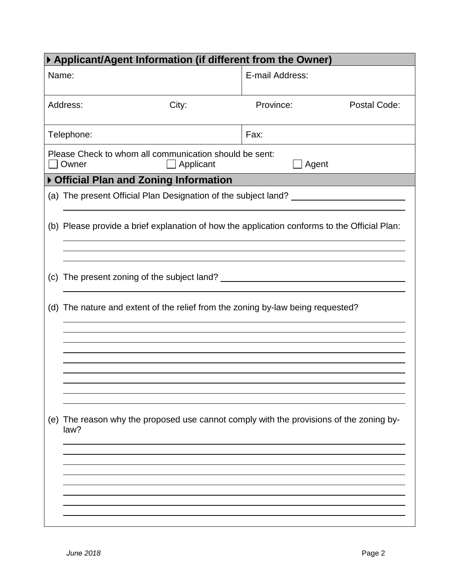| ▶ Applicant/Agent Information (if different from the Owner) |                                                                     |                                                                                              |              |  |
|-------------------------------------------------------------|---------------------------------------------------------------------|----------------------------------------------------------------------------------------------|--------------|--|
| Name:                                                       |                                                                     | E-mail Address:                                                                              |              |  |
| Address:                                                    | City:                                                               | Province:                                                                                    | Postal Code: |  |
| Telephone:                                                  |                                                                     | Fax:                                                                                         |              |  |
| Owner                                                       | Please Check to whom all communication should be sent:<br>Applicant | Agent                                                                                        |              |  |
|                                                             | ▶ Official Plan and Zoning Information                              |                                                                                              |              |  |
|                                                             |                                                                     | (a) The present Official Plan Designation of the subject land?                               |              |  |
|                                                             |                                                                     | (b) Please provide a brief explanation of how the application conforms to the Official Plan: |              |  |
|                                                             |                                                                     |                                                                                              |              |  |
|                                                             |                                                                     | (d) The nature and extent of the relief from the zoning by-law being requested?              |              |  |
|                                                             |                                                                     |                                                                                              |              |  |
|                                                             |                                                                     |                                                                                              |              |  |
| (e)<br>law?                                                 |                                                                     | The reason why the proposed use cannot comply with the provisions of the zoning by-          |              |  |
|                                                             |                                                                     |                                                                                              |              |  |
|                                                             |                                                                     |                                                                                              |              |  |
|                                                             |                                                                     |                                                                                              |              |  |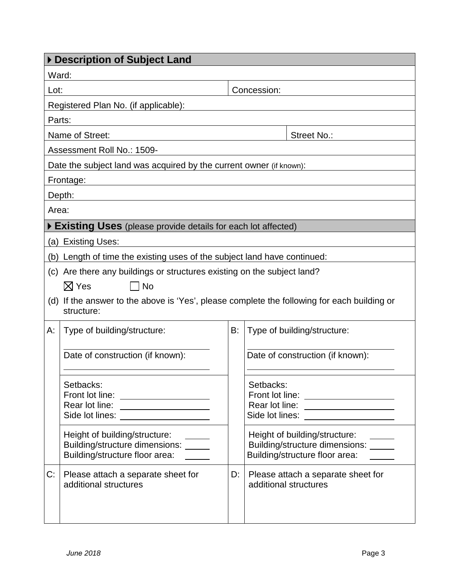| Description of Subject Land |                                                                                                                                  |    |                                                                                                                                  |  |
|-----------------------------|----------------------------------------------------------------------------------------------------------------------------------|----|----------------------------------------------------------------------------------------------------------------------------------|--|
| Ward:                       |                                                                                                                                  |    |                                                                                                                                  |  |
|                             | Concession:<br>Lot:                                                                                                              |    |                                                                                                                                  |  |
|                             | Registered Plan No. (if applicable):                                                                                             |    |                                                                                                                                  |  |
| Parts:                      |                                                                                                                                  |    |                                                                                                                                  |  |
|                             | Name of Street:                                                                                                                  |    | Street No.:                                                                                                                      |  |
|                             | Assessment Roll No.: 1509-                                                                                                       |    |                                                                                                                                  |  |
|                             | Date the subject land was acquired by the current owner (if known):                                                              |    |                                                                                                                                  |  |
|                             | Frontage:                                                                                                                        |    |                                                                                                                                  |  |
|                             | Depth:                                                                                                                           |    |                                                                                                                                  |  |
| Area:                       |                                                                                                                                  |    |                                                                                                                                  |  |
|                             | Existing Uses (please provide details for each lot affected)                                                                     |    |                                                                                                                                  |  |
|                             | (a) Existing Uses:                                                                                                               |    |                                                                                                                                  |  |
|                             | (b) Length of time the existing uses of the subject land have continued:                                                         |    |                                                                                                                                  |  |
|                             | (c) Are there any buildings or structures existing on the subject land?                                                          |    |                                                                                                                                  |  |
|                             | $\boxtimes$ Yes<br><b>No</b>                                                                                                     |    |                                                                                                                                  |  |
|                             | (d) If the answer to the above is 'Yes', please complete the following for each building or<br>structure:                        |    |                                                                                                                                  |  |
| А:                          | Type of building/structure:                                                                                                      | B: | Type of building/structure:                                                                                                      |  |
|                             | Date of construction (if known):                                                                                                 |    | Date of construction (if known):                                                                                                 |  |
|                             | Setbacks:<br>Front lot line: ____________________<br>Rear lot line: ___________________<br>Side lot lines: _____________________ |    | Setbacks:<br>Front lot line: ____________________<br>Rear lot line: ___________________<br>Side lot lines: _____________________ |  |
|                             | Height of building/structure:<br>Building/structure dimensions: _____<br>Building/structure floor area:                          |    | Height of building/structure:<br>Building/structure dimensions: _____<br>Building/structure floor area:                          |  |
| C:                          | Please attach a separate sheet for<br>additional structures                                                                      | D: | Please attach a separate sheet for<br>additional structures                                                                      |  |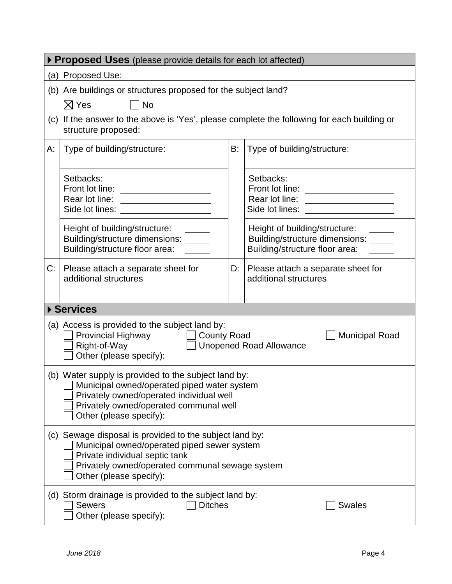| ▶ Proposed Uses (please provide details for each lot affected) |                                                                                                                                                                                                                           |    |                                                                                                         |  |
|----------------------------------------------------------------|---------------------------------------------------------------------------------------------------------------------------------------------------------------------------------------------------------------------------|----|---------------------------------------------------------------------------------------------------------|--|
|                                                                | (a) Proposed Use:                                                                                                                                                                                                         |    |                                                                                                         |  |
|                                                                | (b) Are buildings or structures proposed for the subject land?                                                                                                                                                            |    |                                                                                                         |  |
|                                                                | $\boxtimes$ Yes<br>∣ ∣No<br>(c) If the answer to the above is 'Yes', please complete the following for each building or<br>structure proposed:                                                                            |    |                                                                                                         |  |
| А:                                                             | Type of building/structure:                                                                                                                                                                                               | B: | Type of building/structure:                                                                             |  |
|                                                                | Setbacks:<br>Rear lot line:<br><u> 1989 - Johann Barbara, martin a</u><br>Side lot lines: _____________________                                                                                                           |    | Setbacks:<br>Rear lot line: __________________<br>Side lot lines: _____________________                 |  |
|                                                                | Height of building/structure:<br>Building/structure dimensions: _____<br>Building/structure floor area:                                                                                                                   |    | Height of building/structure:<br>Building/structure dimensions: _____<br>Building/structure floor area: |  |
| C:                                                             | Please attach a separate sheet for<br>additional structures                                                                                                                                                               | D: | Please attach a separate sheet for<br>additional structures                                             |  |
|                                                                | ▶ Services                                                                                                                                                                                                                |    |                                                                                                         |  |
|                                                                | (a) Access is provided to the subject land by:<br>Provincial Highway<br><b>County Road</b><br><b>Municipal Road</b><br>Right-of-Way<br><b>Unopened Road Allowance</b><br>Other (please specify):                          |    |                                                                                                         |  |
|                                                                | (b) Water supply is provided to the subject land by:<br>Municipal owned/operated piped water system<br>Privately owned/operated individual well<br>Privately owned/operated communal well<br>Other (please specify):      |    |                                                                                                         |  |
|                                                                | Sewage disposal is provided to the subject land by:<br>(C)<br>Municipal owned/operated piped sewer system<br>Private individual septic tank<br>Privately owned/operated communal sewage system<br>Other (please specify): |    |                                                                                                         |  |
|                                                                | (d) Storm drainage is provided to the subject land by:<br><b>Sewers</b><br><b>Ditches</b><br><b>Swales</b><br>Other (please specify):                                                                                     |    |                                                                                                         |  |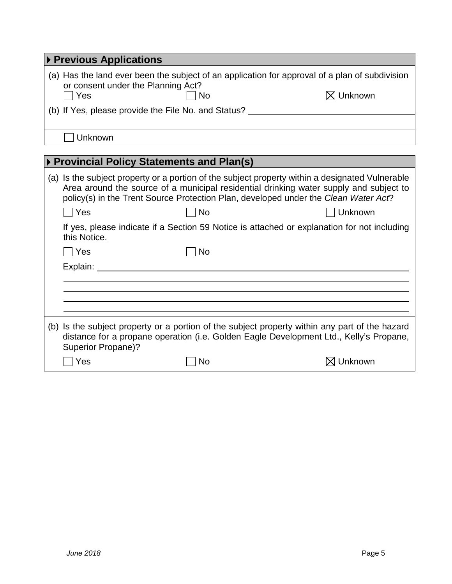| ▶ Previous Applications                             |    |                                                                                                |  |
|-----------------------------------------------------|----|------------------------------------------------------------------------------------------------|--|
| or consent under the Planning Act?                  |    | (a) Has the land ever been the subject of an application for approval of a plan of subdivision |  |
| Yes                                                 | No | $\boxtimes$ Unknown                                                                            |  |
| (b) If Yes, please provide the File No. and Status? |    |                                                                                                |  |
|                                                     |    |                                                                                                |  |
| Unknown                                             |    |                                                                                                |  |

# **Provincial Policy Statements and Plan(s)**

|                           |    | (a) Is the subject property or a portion of the subject property within a designated Vulnerable<br>Area around the source of a municipal residential drinking water supply and subject to<br>policy(s) in the Trent Source Protection Plan, developed under the Clean Water Act? |
|---------------------------|----|----------------------------------------------------------------------------------------------------------------------------------------------------------------------------------------------------------------------------------------------------------------------------------|
| Yes                       | No | Unknown                                                                                                                                                                                                                                                                          |
| this Notice.              |    | If yes, please indicate if a Section 59 Notice is attached or explanation for not including                                                                                                                                                                                      |
| l Yes                     | No |                                                                                                                                                                                                                                                                                  |
| Explain:                  |    |                                                                                                                                                                                                                                                                                  |
|                           |    |                                                                                                                                                                                                                                                                                  |
|                           |    |                                                                                                                                                                                                                                                                                  |
|                           |    |                                                                                                                                                                                                                                                                                  |
| <b>Superior Propane)?</b> |    | (b) Is the subject property or a portion of the subject property within any part of the hazard<br>distance for a propane operation (i.e. Golden Eagle Development Ltd., Kelly's Propane,                                                                                         |
| Yes                       | No | Unknown                                                                                                                                                                                                                                                                          |
|                           |    |                                                                                                                                                                                                                                                                                  |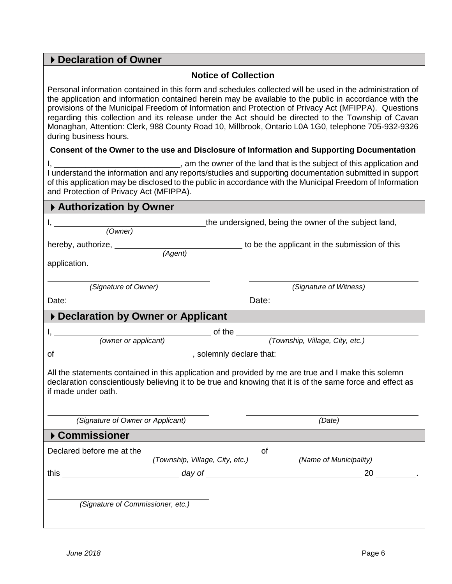## **Declaration of Owner**

#### **Notice of Collection**

Personal information contained in this form and schedules collected will be used in the administration of the application and information contained herein may be available to the public in accordance with the provisions of the Municipal Freedom of Information and Protection of Privacy Act (MFIPPA). Questions regarding this collection and its release under the Act should be directed to the Township of Cavan Monaghan, Attention: Clerk, 988 County Road 10, Millbrook, Ontario L0A 1G0, telephone 705-932-9326 during business hours.

#### **Consent of the Owner to the use and Disclosure of Information and Supporting Documentation**

| , am the owner of the land that is the subject of this application and                                     |
|------------------------------------------------------------------------------------------------------------|
| I understand the information and any reports/studies and supporting documentation submitted in support     |
| of this application may be disclosed to the public in accordance with the Municipal Freedom of Information |
| and Protection of Privacy Act (MFIPPA).                                                                    |

| Authorization by Owner                                                                                                                                                                                                                   |                                                                                                                                                                                                                                      |  |  |  |
|------------------------------------------------------------------------------------------------------------------------------------------------------------------------------------------------------------------------------------------|--------------------------------------------------------------------------------------------------------------------------------------------------------------------------------------------------------------------------------------|--|--|--|
|                                                                                                                                                                                                                                          | the undersigned, being the owner of the subject land,                                                                                                                                                                                |  |  |  |
| (Owner)                                                                                                                                                                                                                                  |                                                                                                                                                                                                                                      |  |  |  |
|                                                                                                                                                                                                                                          |                                                                                                                                                                                                                                      |  |  |  |
| application.                                                                                                                                                                                                                             |                                                                                                                                                                                                                                      |  |  |  |
|                                                                                                                                                                                                                                          |                                                                                                                                                                                                                                      |  |  |  |
| (Signature of Owner)                                                                                                                                                                                                                     | (Signature of Witness)                                                                                                                                                                                                               |  |  |  |
| Date: <u>Date:</u> 2004                                                                                                                                                                                                                  | Date: <u>2000 - 2000 - 2000 - 2000 - 2000 - 2000 - 2000 - 2000 - 2000 - 2000 - 2000 - 2000 - 2000 - 2000 - 2000 - 2000 - 2000 - 2000 - 2000 - 2000 - 2000 - 2000 - 2000 - 2000 - 2000 - 2000 - 2000 - 2000 - 2000 - 2000 - 2000 </u> |  |  |  |
| Declaration by Owner or Applicant                                                                                                                                                                                                        |                                                                                                                                                                                                                                      |  |  |  |
|                                                                                                                                                                                                                                          |                                                                                                                                                                                                                                      |  |  |  |
|                                                                                                                                                                                                                                          |                                                                                                                                                                                                                                      |  |  |  |
|                                                                                                                                                                                                                                          |                                                                                                                                                                                                                                      |  |  |  |
| All the statements contained in this application and provided by me are true and I make this solemn<br>declaration conscientiously believing it to be true and knowing that it is of the same force and effect as<br>if made under oath. |                                                                                                                                                                                                                                      |  |  |  |
| (Signature of Owner or Applicant)                                                                                                                                                                                                        | (Date)                                                                                                                                                                                                                               |  |  |  |
| ▶ Commissioner                                                                                                                                                                                                                           |                                                                                                                                                                                                                                      |  |  |  |
|                                                                                                                                                                                                                                          |                                                                                                                                                                                                                                      |  |  |  |
|                                                                                                                                                                                                                                          |                                                                                                                                                                                                                                      |  |  |  |
| (Signature of Commissioner, etc.)                                                                                                                                                                                                        |                                                                                                                                                                                                                                      |  |  |  |